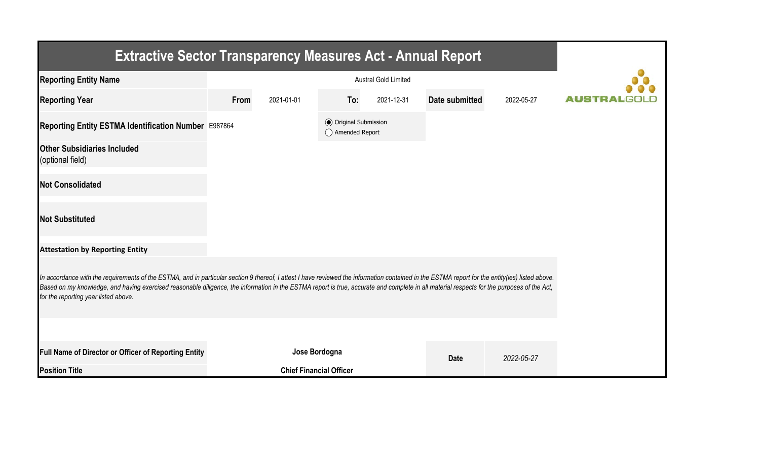| <b>Extractive Sector Transparency Measures Act - Annual Report</b>                                                                                                                                                                                                                                                                                                                                                                    |      |                                |                                                  |            |                |            |  |  |  |  |
|---------------------------------------------------------------------------------------------------------------------------------------------------------------------------------------------------------------------------------------------------------------------------------------------------------------------------------------------------------------------------------------------------------------------------------------|------|--------------------------------|--------------------------------------------------|------------|----------------|------------|--|--|--|--|
| <b>Reporting Entity Name</b>                                                                                                                                                                                                                                                                                                                                                                                                          |      |                                |                                                  |            |                |            |  |  |  |  |
| <b>Reporting Year</b>                                                                                                                                                                                                                                                                                                                                                                                                                 | From | 2021-01-01                     | To:                                              | 2021-12-31 | Date submitted | 2022-05-27 |  |  |  |  |
| Reporting Entity ESTMA Identification Number E987864                                                                                                                                                                                                                                                                                                                                                                                  |      |                                | <b>◎</b> Original Submission<br>◯ Amended Report |            |                |            |  |  |  |  |
| <b>Other Subsidiaries Included</b><br>(optional field)                                                                                                                                                                                                                                                                                                                                                                                |      |                                |                                                  |            |                |            |  |  |  |  |
| <b>Not Consolidated</b>                                                                                                                                                                                                                                                                                                                                                                                                               |      |                                |                                                  |            |                |            |  |  |  |  |
| <b>Not Substituted</b>                                                                                                                                                                                                                                                                                                                                                                                                                |      |                                |                                                  |            |                |            |  |  |  |  |
| <b>Attestation by Reporting Entity</b>                                                                                                                                                                                                                                                                                                                                                                                                |      |                                |                                                  |            |                |            |  |  |  |  |
| In accordance with the requirements of the ESTMA, and in particular section 9 thereof, I attest I have reviewed the information contained in the ESTMA report for the entity(ies) listed above.<br>Based on my knowledge, and having exercised reasonable diligence, the information in the ESTMA report is true, accurate and complete in all material respects for the purposes of the Act,<br>for the reporting year listed above. |      |                                |                                                  |            |                |            |  |  |  |  |
|                                                                                                                                                                                                                                                                                                                                                                                                                                       |      |                                |                                                  |            |                |            |  |  |  |  |
| Full Name of Director or Officer of Reporting Entity                                                                                                                                                                                                                                                                                                                                                                                  |      | Jose Bordogna                  |                                                  |            | <b>Date</b>    | 2022-05-27 |  |  |  |  |
| <b>Position Title</b>                                                                                                                                                                                                                                                                                                                                                                                                                 |      | <b>Chief Financial Officer</b> |                                                  |            |                |            |  |  |  |  |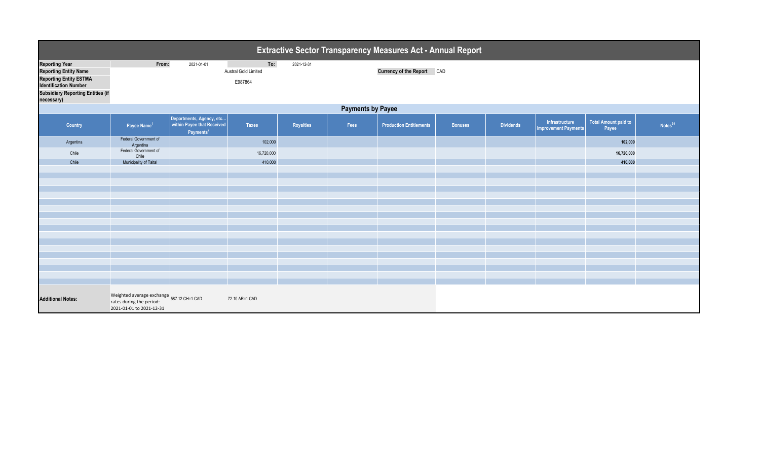| <b>Extractive Sector Transparency Measures Act - Annual Report</b>                                                                                                 |                                                                                                |                                                                                 |                                               |                  |      |                                   |                |                  |                                               |                               |                     |  |
|--------------------------------------------------------------------------------------------------------------------------------------------------------------------|------------------------------------------------------------------------------------------------|---------------------------------------------------------------------------------|-----------------------------------------------|------------------|------|-----------------------------------|----------------|------------------|-----------------------------------------------|-------------------------------|---------------------|--|
| <b>Reporting Year</b><br><b>Reporting Entity Name</b><br>Reporting Entity ESTMA<br>Identification Number<br><b>Subsidiary Reporting Entities (if</b><br>necessary) | From:                                                                                          | 2021-01-01                                                                      | To:<br><b>Austral Gold Limited</b><br>E987864 | 2021-12-31       |      | <b>Currency of the Report CAD</b> |                |                  |                                               |                               |                     |  |
| <b>Payments by Payee</b>                                                                                                                                           |                                                                                                |                                                                                 |                                               |                  |      |                                   |                |                  |                                               |                               |                     |  |
| <b>Country</b>                                                                                                                                                     | Payee Name <sup>1</sup>                                                                        | Departments, Agency, etc<br>within Payee that Received<br>Payments <sup>2</sup> | <b>Taxes</b>                                  | <b>Royalties</b> | Fees | <b>Production Entitlements</b>    | <b>Bonuses</b> | <b>Dividends</b> | Infrastructure<br><b>Improvement Payments</b> | Total Amount paid to<br>Payee | Notes <sup>34</sup> |  |
| Argentina                                                                                                                                                          | Federal Government of<br>Argentina                                                             |                                                                                 | 102,000                                       |                  |      |                                   |                |                  |                                               | 102,000                       |                     |  |
| Chile                                                                                                                                                              | Federal Government of<br>Chile                                                                 |                                                                                 | 16,720,000                                    |                  |      |                                   |                |                  |                                               | 16,720,000                    |                     |  |
| Chile                                                                                                                                                              | Municipality of Taltal                                                                         |                                                                                 | 410,000                                       |                  |      |                                   |                |                  |                                               | 410,000                       |                     |  |
|                                                                                                                                                                    |                                                                                                |                                                                                 |                                               |                  |      |                                   |                |                  |                                               |                               |                     |  |
|                                                                                                                                                                    |                                                                                                |                                                                                 |                                               |                  |      |                                   |                |                  |                                               |                               |                     |  |
|                                                                                                                                                                    |                                                                                                |                                                                                 |                                               |                  |      |                                   |                |                  |                                               |                               |                     |  |
|                                                                                                                                                                    |                                                                                                |                                                                                 |                                               |                  |      |                                   |                |                  |                                               |                               |                     |  |
|                                                                                                                                                                    |                                                                                                |                                                                                 |                                               |                  |      |                                   |                |                  |                                               |                               |                     |  |
|                                                                                                                                                                    |                                                                                                |                                                                                 |                                               |                  |      |                                   |                |                  |                                               |                               |                     |  |
|                                                                                                                                                                    |                                                                                                |                                                                                 |                                               |                  |      |                                   |                |                  |                                               |                               |                     |  |
|                                                                                                                                                                    |                                                                                                |                                                                                 |                                               |                  |      |                                   |                |                  |                                               |                               |                     |  |
|                                                                                                                                                                    |                                                                                                |                                                                                 |                                               |                  |      |                                   |                |                  |                                               |                               |                     |  |
|                                                                                                                                                                    |                                                                                                |                                                                                 |                                               |                  |      |                                   |                |                  |                                               |                               |                     |  |
|                                                                                                                                                                    |                                                                                                |                                                                                 |                                               |                  |      |                                   |                |                  |                                               |                               |                     |  |
|                                                                                                                                                                    |                                                                                                |                                                                                 |                                               |                  |      |                                   |                |                  |                                               |                               |                     |  |
|                                                                                                                                                                    |                                                                                                |                                                                                 |                                               |                  |      |                                   |                |                  |                                               |                               |                     |  |
|                                                                                                                                                                    |                                                                                                |                                                                                 |                                               |                  |      |                                   |                |                  |                                               |                               |                     |  |
| <b>Additional Notes:</b>                                                                                                                                           | Weighted average exchange 587.12 CH=1 CAD rates during the period:<br>2021-01-01 to 2021-12-31 |                                                                                 | 72.10 AR=1 CAD                                |                  |      |                                   |                |                  |                                               |                               |                     |  |